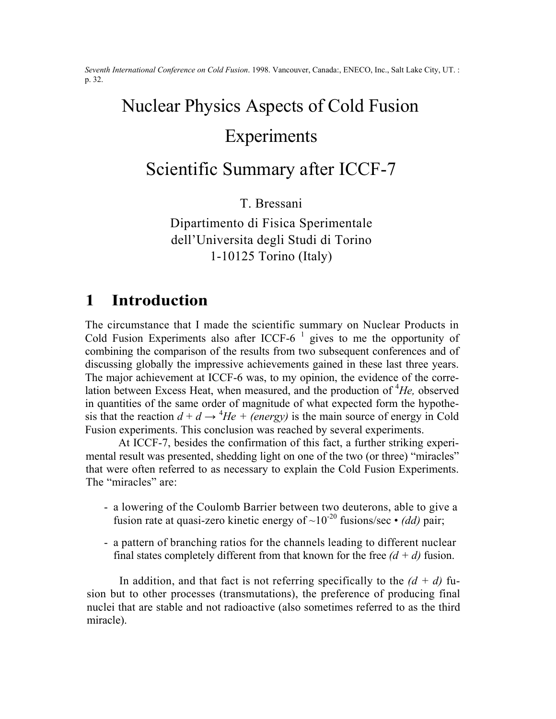*Seventh International Conference on Cold Fusion*. 1998. Vancouver, Canada:, ENECO, Inc., Salt Lake City, UT. : p. 32.

# Nuclear Physics Aspects of Cold Fusion Experiments

# Scientific Summary after ICCF-7

T. Bressani

Dipartimento di Fisica Sperimentale dell'Universita degli Studi di Torino 1-10125 Torino (Italy)

#### **1 Introduction**

The circumstance that I made the scientific summary on Nuclear Products in Cold Fusion Experiments also after ICCF-6<sup> $-1$ </sup> gives to me the opportunity of combining the comparison of the results from two subsequent conferences and of discussing globally the impressive achievements gained in these last three years. The major achievement at ICCF-6 was, to my opinion, the evidence of the correlation between Excess Heat, when measured, and the production of <sup>4</sup>He, observed in quantities of the same order of magnitude of what expected form the hypothesis that the reaction  $d + d \rightarrow {}^4He + (energy)$  is the main source of energy in Cold Fusion experiments. This conclusion was reached by several experiments.

At ICCF-7, besides the confirmation of this fact, a further striking experimental result was presented, shedding light on one of the two (or three) "miracles" that were often referred to as necessary to explain the Cold Fusion Experiments. The "miracles" are:

- a lowering of the Coulomb Barrier between two deuterons, able to give a fusion rate at quasi-zero kinetic energy of  $\sim 10^{-20}$  fusions/sec  $\cdot$  *(dd)* pair;
- a pattern of branching ratios for the channels leading to different nuclear final states completely different from that known for the free  $(d + d)$  fusion.

In addition, and that fact is not referring specifically to the  $(d + d)$  fusion but to other processes (transmutations), the preference of producing final nuclei that are stable and not radioactive (also sometimes referred to as the third miracle).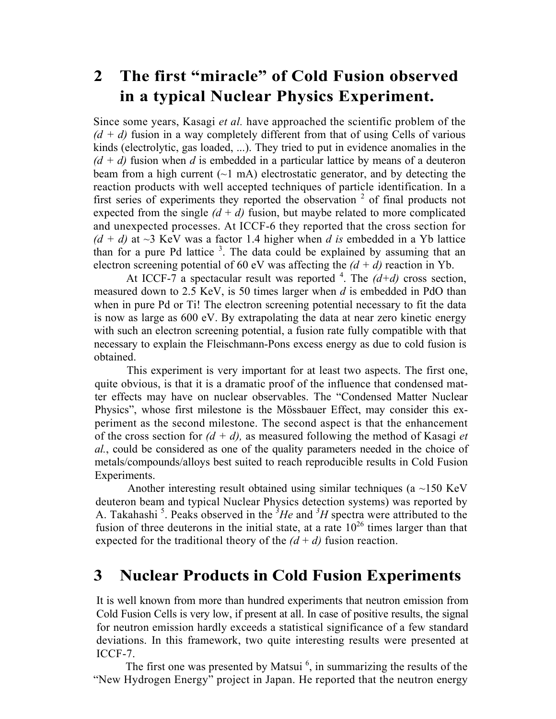# **2 The first "miracle" of Cold Fusion observed in a typical Nuclear Physics Experiment.**

Since some years, Kasagi *et al.* have approached the scientific problem of the  $(d + d)$  fusion in a way completely different from that of using Cells of various kinds (electrolytic, gas loaded, ...). They tried to put in evidence anomalies in the  $(d + d)$  fusion when *d* is embedded in a particular lattice by means of a deuteron beam from a high current  $(\sim 1 \text{ mA})$  electrostatic generator, and by detecting the reaction products with well accepted techniques of particle identification. In a first series of experiments they reported the observation  $2$  of final products not expected from the single  $(d + d)$  fusion, but maybe related to more complicated and unexpected processes. At ICCF-6 they reported that the cross section for  $(d + d)$  at  $\sim$ 3 KeV was a factor 1.4 higher when *d is* embedded in a Yb lattice than for a pure Pd lattice  $3$ . The data could be explained by assuming that an electron screening potential of 60 eV was affecting the  $(d + d)$  reaction in Yb.

At ICCF-7 a spectacular result was reported  $4$ . The  $(d+d)$  cross section, measured down to 2.5 KeV, is 50 times larger when *d* is embedded in PdO than when in pure Pd or Ti! The electron screening potential necessary to fit the data is now as large as 600 eV. By extrapolating the data at near zero kinetic energy with such an electron screening potential, a fusion rate fully compatible with that necessary to explain the Fleischmann-Pons excess energy as due to cold fusion is obtained.

This experiment is very important for at least two aspects. The first one, quite obvious, is that it is a dramatic proof of the influence that condensed matter effects may have on nuclear observables. The "Condensed Matter Nuclear Physics", whose first milestone is the Mössbauer Effect, may consider this experiment as the second milestone. The second aspect is that the enhancement of the cross section for *(d + d),* as measured following the method of Kasagi *et al.*, could be considered as one of the quality parameters needed in the choice of metals/compounds/alloys best suited to reach reproducible results in Cold Fusion Experiments.

Another interesting result obtained using similar techniques (a  $\sim$ 150 KeV deuteron beam and typical Nuclear Physics detection systems) was reported by A. Takahashi<sup>5</sup>. Peaks observed in the <sup>3</sup>*He* and <sup>3</sup>*H* spectra were attributed to the fusion of three deuterons in the initial state, at a rate  $10^{26}$  times larger than that expected for the traditional theory of the  $(d + d)$  fusion reaction.

#### **3 Nuclear Products in Cold Fusion Experiments**

It is well known from more than hundred experiments that neutron emission from Cold Fusion Cells is very low, if present at all. In case of positive results, the signal for neutron emission hardly exceeds a statistical significance of a few standard deviations. In this framework, two quite interesting results were presented at ICCF-7.

The first one was presented by Matsui $<sup>6</sup>$ , in summarizing the results of the</sup> "New Hydrogen Energy" project in Japan. He reported that the neutron energy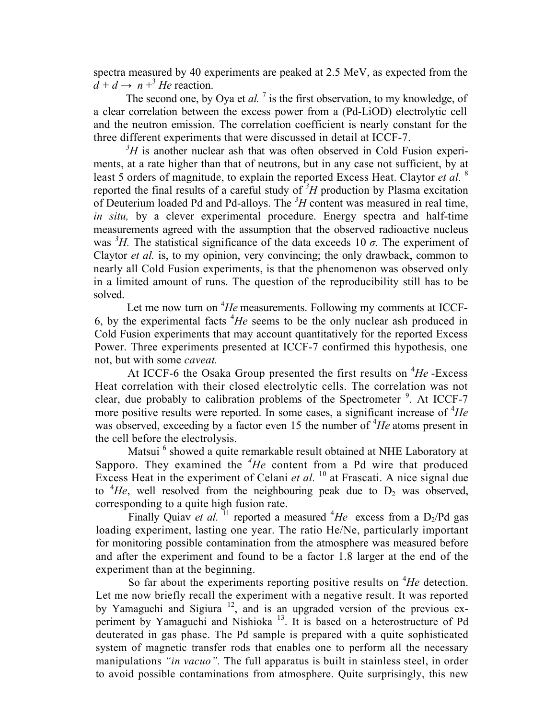spectra measured by 40 experiments are peaked at 2.5 MeV, as expected from the  $d + d \rightarrow n + \frac{3}{2}$  *He* reaction.

The second one, by Oya et  $al.$ <sup>7</sup> is the first observation, to my knowledge, of a clear correlation between the excess power from a (Pd-LiOD) electrolytic cell and the neutron emission. The correlation coefficient is nearly constant for the three different experiments that were discussed in detail at ICCF-7.

 $3H$  is another nuclear ash that was often observed in Cold Fusion experiments, at a rate higher than that of neutrons, but in any case not sufficient, by at least 5 orders of magnitude, to explain the reported Excess Heat. Claytor *et al.* <sup>8</sup> reported the final results of a careful study of  $3H$  production by Plasma excitation of Deuterium loaded Pd and Pd-alloys. The *<sup>3</sup> H* content was measured in real time, *in situ,* by a clever experimental procedure. Energy spectra and half-time measurements agreed with the assumption that the observed radioactive nucleus was <sup>3</sup>H. The statistical significance of the data exceeds 10  $\sigma$ . The experiment of Claytor *et al.* is, to my opinion, very convincing; the only drawback, common to nearly all Cold Fusion experiments, is that the phenomenon was observed only in a limited amount of runs. The question of the reproducibility still has to be solved.

Let me now turn on <sup>4</sup>He measurements. Following my comments at ICCF-6, by the experimental facts  ${}^{4}He$  seems to be the only nuclear ash produced in Cold Fusion experiments that may account quantitatively for the reported Excess Power. Three experiments presented at ICCF-7 confirmed this hypothesis, one not, but with some *caveat.*

At ICCF-6 the Osaka Group presented the first results on <sup>4</sup>He-Excess Heat correlation with their closed electrolytic cells. The correlation was not clear, due probably to calibration problems of the Spectrometer  $9$ . At ICCF-7 more positive results were reported. In some cases, a significant increase of <sup>4</sup>He was observed, exceeding by a factor even 15 the number of <sup>4</sup>He atoms present in the cell before the electrolysis.

Matsui<sup>6</sup> showed a quite remarkable result obtained at NHE Laboratory at Sapporo. They examined the <sup>4</sup>He content from a Pd wire that produced Excess Heat in the experiment of Celani *et al.* <sup>10</sup> at Frascati. A nice signal due to  ${}^{4}He$ , well resolved from the neighbouring peak due to  $D_2$  was observed, corresponding to a quite high fusion rate.

Finally Quiav *et al.* <sup>11</sup> reported a measured  ${}^4He$  excess from a D<sub>2</sub>/Pd gas loading experiment, lasting one year. The ratio He/Ne, particularly important for monitoring possible contamination from the atmosphere was measured before and after the experiment and found to be a factor 1.8 larger at the end of the experiment than at the beginning.

So far about the experiments reporting positive results on <sup>4</sup>He detection. Let me now briefly recall the experiment with a negative result. It was reported by Yamaguchi and Sigiura<sup>12</sup>, and is an upgraded version of the previous experiment by Yamaguchi and Nishioka 13. It is based on a heterostructure of Pd deuterated in gas phase. The Pd sample is prepared with a quite sophisticated system of magnetic transfer rods that enables one to perform all the necessary manipulations *"in vacuo".* The full apparatus is built in stainless steel, in order to avoid possible contaminations from atmosphere. Quite surprisingly, this new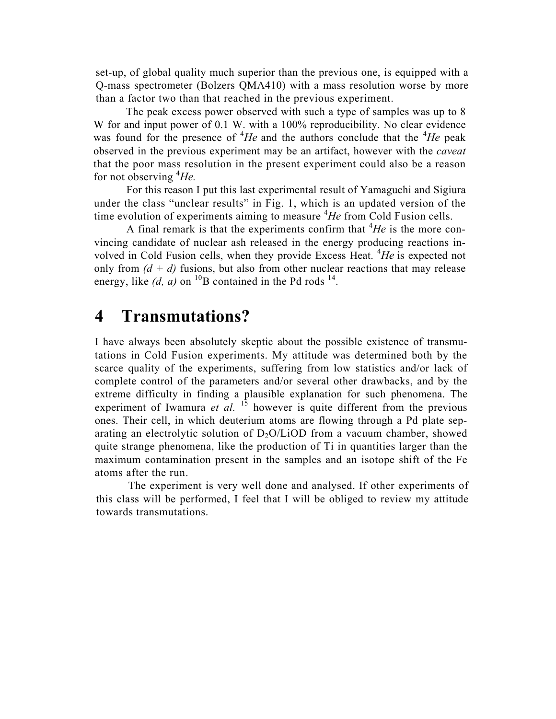set-up, of global quality much superior than the previous one, is equipped with a Q-mass spectrometer (Bolzers QMA410) with a mass resolution worse by more than a factor two than that reached in the previous experiment.

The peak excess power observed with such a type of samples was up to 8 W for and input power of 0.1 W. with a 100% reproducibility. No clear evidence was found for the presence of  ${}^{4}He$  and the authors conclude that the  ${}^{4}He$  peak observed in the previous experiment may be an artifact, however with the *caveat*  that the poor mass resolution in the present experiment could also be a reason for not observing <sup>4</sup> *He.*

For this reason I put this last experimental result of Yamaguchi and Sigiura under the class "unclear results" in Fig. 1, which is an updated version of the time evolution of experiments aiming to measure <sup>4</sup>He from Cold Fusion cells.

A final remark is that the experiments confirm that  ${}^{4}He$  is the more convincing candidate of nuclear ash released in the energy producing reactions involved in Cold Fusion cells, when they provide Excess Heat. <sup>4</sup> *He* is expected not only from  $(d + d)$  fusions, but also from other nuclear reactions that may release energy, like  $(d, a)$  on <sup>10</sup>B contained in the Pd rods <sup>14</sup>.

### **4 Transmutations?**

I have always been absolutely skeptic about the possible existence of transmutations in Cold Fusion experiments. My attitude was determined both by the scarce quality of the experiments, suffering from low statistics and/or lack of complete control of the parameters and/or several other drawbacks, and by the extreme difficulty in finding a plausible explanation for such phenomena. The experiment of Iwamura *et al.* <sup>15</sup> however is quite different from the previous ones. Their cell, in which deuterium atoms are flowing through a Pd plate separating an electrolytic solution of  $D_2O/LiOD$  from a vacuum chamber, showed quite strange phenomena, like the production of Ti in quantities larger than the maximum contamination present in the samples and an isotope shift of the Fe atoms after the run.

The experiment is very well done and analysed. If other experiments of this class will be performed, I feel that I will be obliged to review my attitude towards transmutations.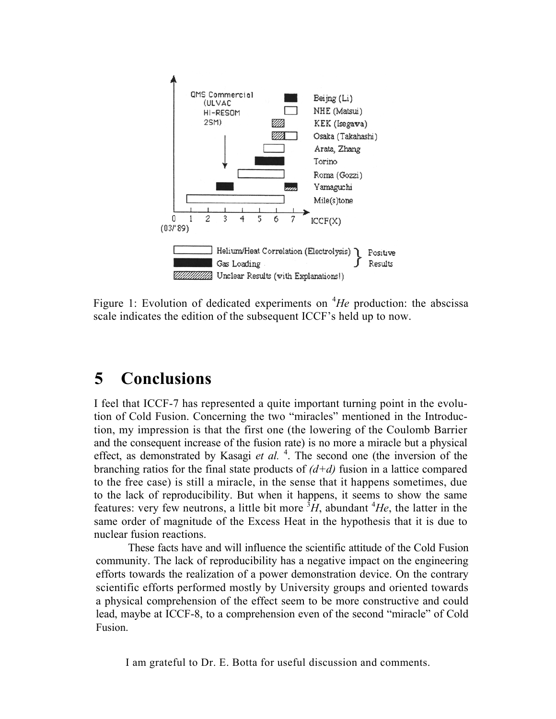

Figure 1: Evolution of dedicated experiments on <sup>4</sup>He production: the abscissa scale indicates the edition of the subsequent ICCF's held up to now.

## **5 Conclusions**

I feel that ICCF-7 has represented a quite important turning point in the evolution of Cold Fusion. Concerning the two "miracles" mentioned in the Introduction, my impression is that the first one (the lowering of the Coulomb Barrier and the consequent increase of the fusion rate) is no more a miracle but a physical effect, as demonstrated by Kasagi *et al.*<sup>4</sup>. The second one (the inversion of the branching ratios for the final state products of *(d+d)* fusion in a lattice compared to the free case) is still a miracle, in the sense that it happens sometimes, due to the lack of reproducibility. But when it happens, it seems to show the same features: very few neutrons, a little bit more  ${}^{3}\tilde{H}$ , abundant  ${}^{4}He$ , the latter in the same order of magnitude of the Excess Heat in the hypothesis that it is due to nuclear fusion reactions.

These facts have and will influence the scientific attitude of the Cold Fusion community. The lack of reproducibility has a negative impact on the engineering efforts towards the realization of a power demonstration device. On the contrary scientific efforts performed mostly by University groups and oriented towards a physical comprehension of the effect seem to be more constructive and could lead, maybe at ICCF-8, to a comprehension even of the second "miracle" of Cold Fusion.

I am grateful to Dr. E. Botta for useful discussion and comments.